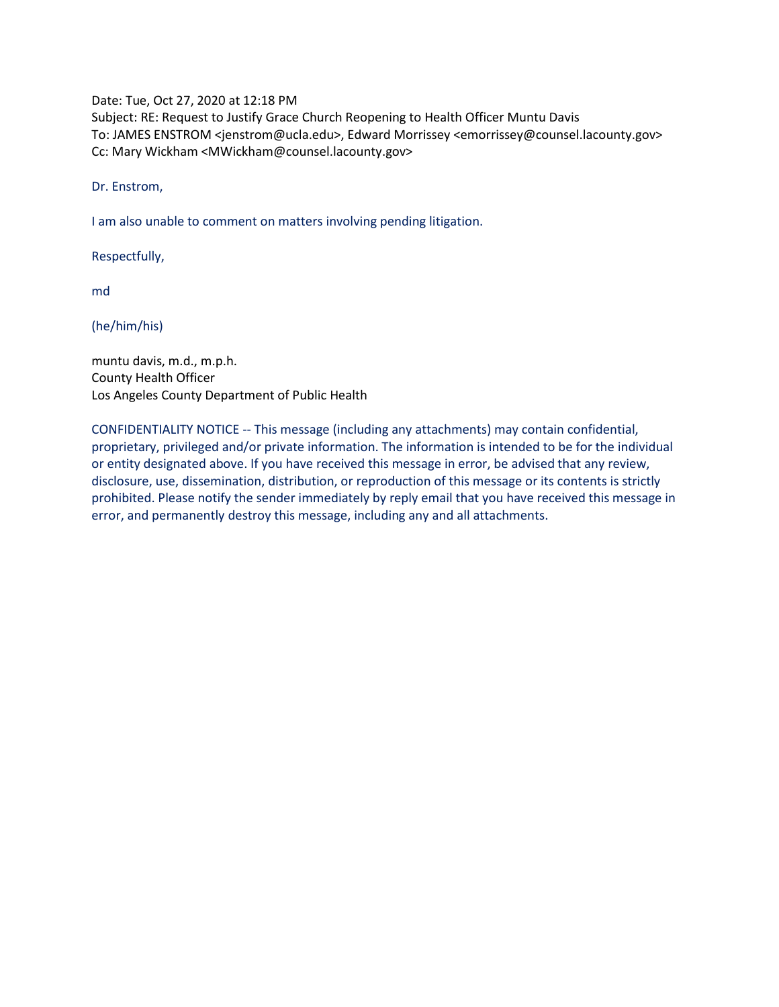Date: Tue, Oct 27, 2020 at 12:18 PM

Subject: RE: Request to Justify Grace Church Reopening to Health Officer Muntu Davis To: JAMES ENSTROM <jenstrom@ucla.edu>, Edward Morrissey <emorrissey@counsel.lacounty.gov> Cc: Mary Wickham <MWickham@counsel.lacounty.gov>

Dr. Enstrom,

I am also unable to comment on matters involving pending litigation.

Respectfully,

md

(he/him/his)

muntu davis, m.d., m.p.h. County Health Officer Los Angeles County Department of Public Health

CONFIDENTIALITY NOTICE -- This message (including any attachments) may contain confidential, proprietary, privileged and/or private information. The information is intended to be for the individual or entity designated above. If you have received this message in error, be advised that any review, disclosure, use, dissemination, distribution, or reproduction of this message or its contents is strictly prohibited. Please notify the sender immediately by reply email that you have received this message in error, and permanently destroy this message, including any and all attachments.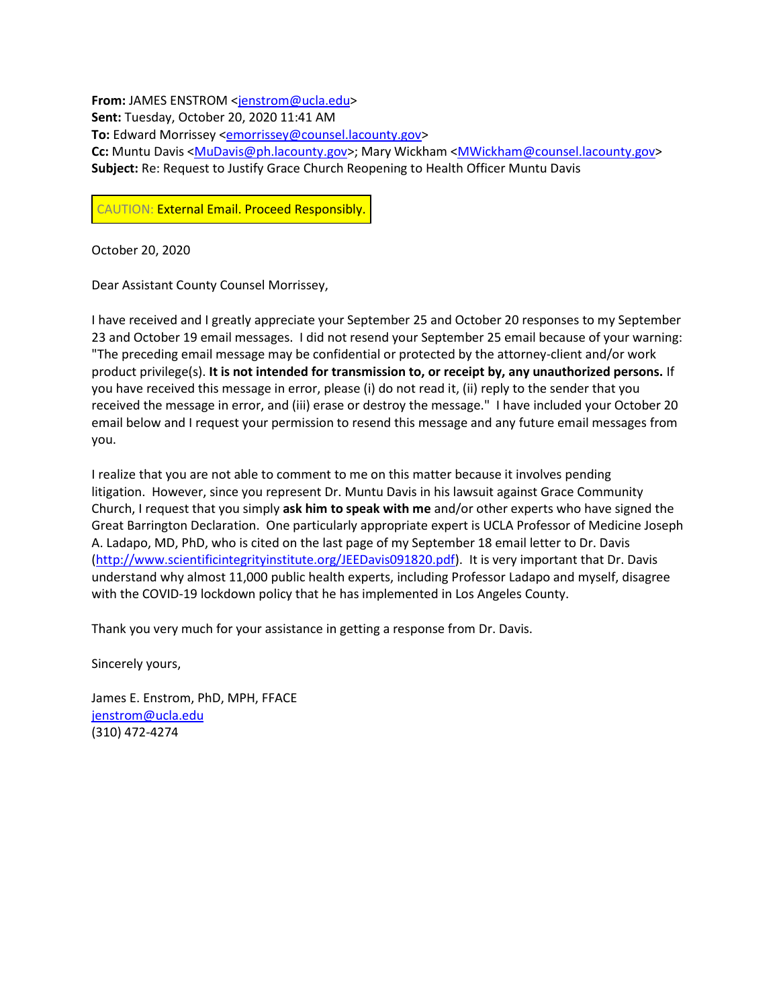**From:** JAMES ENSTROM [<jenstrom@ucla.edu>](mailto:jenstrom@ucla.edu) **Sent:** Tuesday, October 20, 2020 11:41 AM **To:** Edward Morrissey [<emorrissey@counsel.lacounty.gov>](mailto:emorrissey@counsel.lacounty.gov) Cc: Muntu Davis [<MuDavis@ph.lacounty.gov>](mailto:MuDavis@ph.lacounty.gov); Mary Wickham [<MWickham@counsel.lacounty.gov>](mailto:MWickham@counsel.lacounty.gov) **Subject:** Re: Request to Justify Grace Church Reopening to Health Officer Muntu Davis

CAUTION: External Email. Proceed Responsibly.

October 20, 2020

Dear Assistant County Counsel Morrissey,

I have received and I greatly appreciate your September 25 and October 20 responses to my September 23 and October 19 email messages. I did not resend your September 25 email because of your warning: "The preceding email message may be confidential or protected by the attorney-client and/or work product privilege(s). **It is not intended for transmission to, or receipt by, any unauthorized persons.** If you have received this message in error, please (i) do not read it, (ii) reply to the sender that you received the message in error, and (iii) erase or destroy the message." I have included your October 20 email below and I request your permission to resend this message and any future email messages from you.

I realize that you are not able to comment to me on this matter because it involves pending litigation. However, since you represent Dr. Muntu Davis in his lawsuit against Grace Community Church, I request that you simply **ask him to speak with me** and/or other experts who have signed the Great Barrington Declaration. One particularly appropriate expert is UCLA Professor of Medicine Joseph A. Ladapo, MD, PhD, who is cited on the last page of my September 18 email letter to Dr. Davis [\(http://www.scientificintegrityinstitute.org/JEEDavis091820.pdf\)](http://secure-web.cisco.com/1140EJP_IGlhx7oZ-4p25avryB_xsSY0Z-iVADCN0WqiYDzoCaf00GhDDoVa-6OfnJMfYNFWQ2gcIvnD_-a6rHcxv-CeiDVPwKBhKVyMJyxV5g2foc10a8g5oi9vFaUbwi22X_YvfdY6HV_eJ6_DSN6MoyNsrgtYrOKgk3li3vXdiVzUaQKNegEj799yy2LstqBQ8IyiiV9EI3gh4oxAW19S_UjVarfPhY1VifxX6sYzrALDxCgamDG5apuAyKSmh1p3fv7BC7NjaMtfh653w_T2ZNBY73BW_8tTg12V_KcnFDymbJBm3ITOlbSDBbS723MFdliP3EeAyQzLUCMjOG57DYyi5ADd-tHJjI1UA0FShqQjnfeh-ptkc2_N_jsRBlhmUpDcAhoF_Z-UHFNpubBXXqG1Z_7Zwms_wFRD4e6PEGB17rG6na56Bh8zlvlYJJFuEeKgMyULyxHfUn6P5ig/http%3A%2F%2Fscientificintegrityinstitute.org%2FJEEDavis091820.pdf). It is very important that Dr. Davis understand why almost 11,000 public health experts, including Professor Ladapo and myself, disagree with the COVID-19 lockdown policy that he has implemented in Los Angeles County.

Thank you very much for your assistance in getting a response from Dr. Davis.

Sincerely yours,

James E. Enstrom, PhD, MPH, FFACE [jenstrom@ucla.edu](mailto:jenstrom@ucla.edu) (310) 472-4274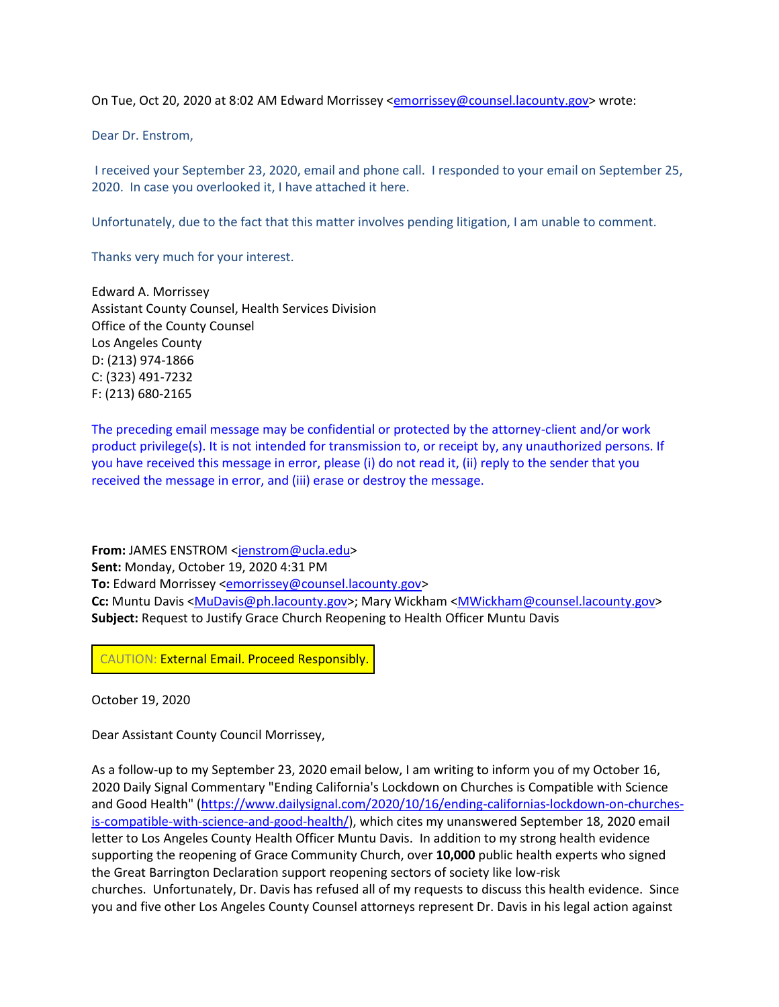On Tue, Oct 20, 2020 at 8:02 AM Edward Morrissey [<emorrissey@counsel.lacounty.gov>](mailto:emorrissey@counsel.lacounty.gov) wrote:

Dear Dr. Enstrom,

I received your September 23, 2020, email and phone call. I responded to your email on September 25, 2020. In case you overlooked it, I have attached it here.

Unfortunately, due to the fact that this matter involves pending litigation, I am unable to comment.

Thanks very much for your interest.

Edward A. Morrissey Assistant County Counsel, Health Services Division Office of the County Counsel Los Angeles County D: (213) 974-1866 C: (323) 491-7232 F: (213) 680-2165

The preceding email message may be confidential or protected by the attorney-client and/or work product privilege(s). It is not intended for transmission to, or receipt by, any unauthorized persons. If you have received this message in error, please (i) do not read it, (ii) reply to the sender that you received the message in error, and (iii) erase or destroy the message.

**From:** JAMES ENSTROM [<jenstrom@ucla.edu>](mailto:jenstrom@ucla.edu) **Sent:** Monday, October 19, 2020 4:31 PM **To:** Edward Morrissey [<emorrissey@counsel.lacounty.gov>](mailto:emorrissey@counsel.lacounty.gov) **Cc:** Muntu Davis [<MuDavis@ph.lacounty.gov>](mailto:MuDavis@ph.lacounty.gov); Mary Wickham [<MWickham@counsel.lacounty.gov>](mailto:MWickham@counsel.lacounty.gov) **Subject:** Request to Justify Grace Church Reopening to Health Officer Muntu Davis

CAUTION: External Email. Proceed Responsibly.

October 19, 2020

Dear Assistant County Council Morrissey,

As a follow-up to my September 23, 2020 email below, I am writing to inform you of my October 16, 2020 Daily Signal Commentary "Ending California's Lockdown on Churches is Compatible with Science and Good Health" [\(https://www.dailysignal.com/2020/10/16/ending-californias-lockdown-on-churches](https://www.dailysignal.com/2020/10/16/ending-californias-lockdown-on-churches-is-compatible-with-science-and-good-health/)[is-compatible-with-science-and-good-health/\)](https://www.dailysignal.com/2020/10/16/ending-californias-lockdown-on-churches-is-compatible-with-science-and-good-health/), which cites my unanswered September 18, 2020 email letter to Los Angeles County Health Officer Muntu Davis. In addition to my strong health evidence supporting the reopening of Grace Community Church, over **10,000** public health experts who signed the Great Barrington Declaration support reopening sectors of society like low-risk churches. Unfortunately, Dr. Davis has refused all of my requests to discuss this health evidence. Since you and five other Los Angeles County Counsel attorneys represent Dr. Davis in his legal action against